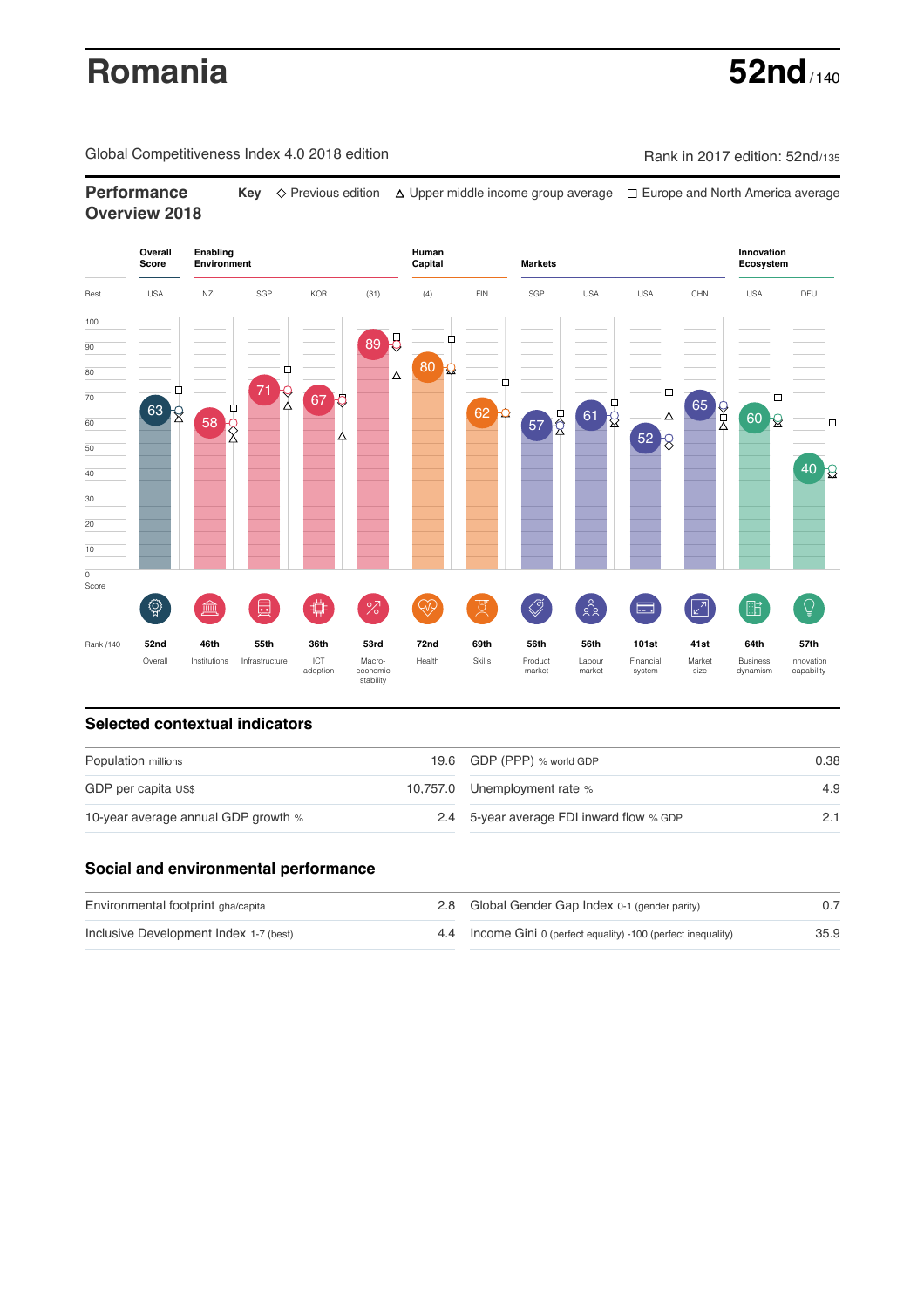# **Romania** 52nd

Global Competitiveness Index 4.0 2018 edition Rank in 2017 edition: 52nd/135

**Performance** Key  $\Diamond$  Previous edition △ Upper middle income group average □ Europe and North America average **Overview 2018**



### **Selected contextual indicators**

| Population millions                 |  | 19.6 GDP (PPP) % world GDP               | 0.38 |  |
|-------------------------------------|--|------------------------------------------|------|--|
| GDP per capita US\$                 |  | 10,757.0 Unemployment rate %             | 4.9  |  |
| 10-year average annual GDP growth % |  | 2.4 5-year average FDI inward flow % GDP |      |  |

## **Social and environmental performance**

| Environmental footprint gha/capita     | 2.8 Global Gender Gap Index 0-1 (gender parity)                |      |
|----------------------------------------|----------------------------------------------------------------|------|
| Inclusive Development Index 1-7 (best) | 4.4 Income Gini 0 (perfect equality) -100 (perfect inequality) | 35.9 |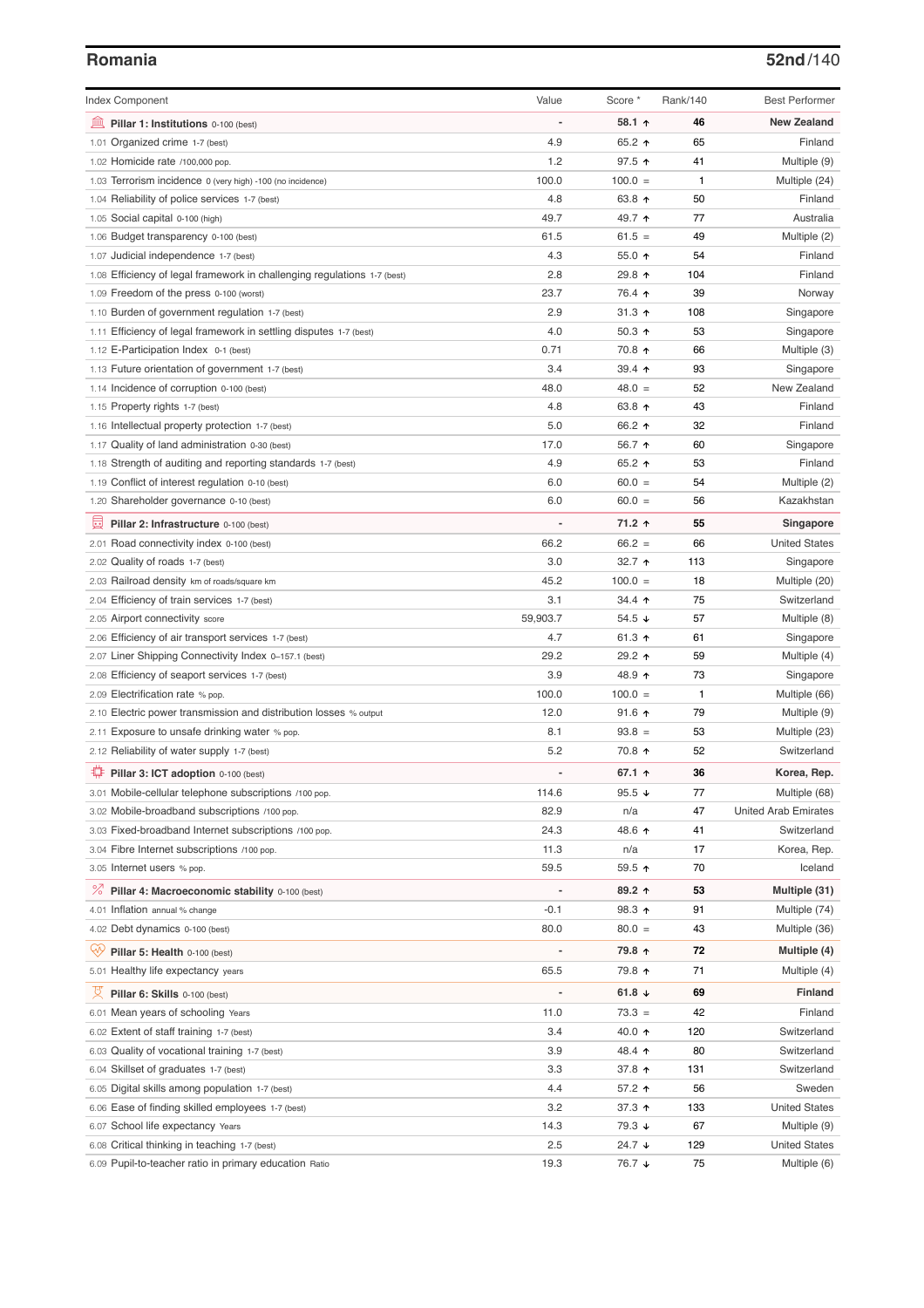### **Romania 52nd**/140

| <b>Index Component</b>                                                   | Value    | Score *              | Rank/140 | <b>Best Performer</b>       |
|--------------------------------------------------------------------------|----------|----------------------|----------|-----------------------------|
| 逦<br>Pillar 1: Institutions 0-100 (best)                                 |          | 58.1 ↑               | 46       | <b>New Zealand</b>          |
| 1.01 Organized crime 1-7 (best)                                          | 4.9      | 65.2 $\uparrow$      | 65       | Finland                     |
| 1.02 Homicide rate /100,000 pop.                                         | 1.2      | $97.5$ ↑             | 41       | Multiple (9)                |
| 1.03 Terrorism incidence 0 (very high) -100 (no incidence)               | 100.0    | $100.0 =$            | 1        | Multiple (24)               |
| 1.04 Reliability of police services 1-7 (best)                           | 4.8      | 63.8 $\uparrow$      | 50       | Finland                     |
| 1.05 Social capital 0-100 (high)                                         | 49.7     | 49.7 ተ               | 77       | Australia                   |
| 1.06 Budget transparency 0-100 (best)                                    | 61.5     | $61.5 =$             | 49       | Multiple (2)                |
| 1.07 Judicial independence 1-7 (best)                                    | 4.3      | 55.0 个               | 54       | Finland                     |
| 1.08 Efficiency of legal framework in challenging regulations 1-7 (best) | 2.8      | 29.8 个               | 104      | Finland                     |
| 1.09 Freedom of the press 0-100 (worst)                                  | 23.7     | 76.4 ↑               | 39       | Norway                      |
| 1.10 Burden of government regulation 1-7 (best)                          | 2.9      | $31.3$ 1             | 108      | Singapore                   |
| 1.11 Efficiency of legal framework in settling disputes 1-7 (best)       | 4.0      | 50.3 $\uparrow$      | 53       | Singapore                   |
| 1.12 E-Participation Index 0-1 (best)                                    | 0.71     | 70.8 ↑               | 66       | Multiple (3)                |
| 1.13 Future orientation of government 1-7 (best)                         | 3.4      | $39.4$ ↑             | 93       | Singapore                   |
| 1.14 Incidence of corruption 0-100 (best)                                | 48.0     | $48.0 =$             | 52       | New Zealand                 |
| 1.15 Property rights 1-7 (best)                                          | 4.8      | 63.8 个               | 43       | Finland                     |
| 1.16 Intellectual property protection 1-7 (best)                         | 5.0      | 66.2 ↑               | 32       | Finland                     |
| 1.17 Quality of land administration 0-30 (best)                          | 17.0     | 56.7 ↑               | 60       | Singapore                   |
| 1.18 Strength of auditing and reporting standards 1-7 (best)             | 4.9      | 65.2 $\uparrow$      | 53       | Finland                     |
| 1.19 Conflict of interest regulation 0-10 (best)                         | 6.0      | $60.0 =$             | 54       | Multiple (2)                |
| 1.20 Shareholder governance 0-10 (best)                                  | 6.0      | $60.0 =$             | 56       | Kazakhstan                  |
| 員<br>Pillar 2: Infrastructure 0-100 (best)                               |          | 71.2 ↑               | 55       | Singapore                   |
| 2.01 Road connectivity index 0-100 (best)                                | 66.2     | $66.2 =$             | 66       | <b>United States</b>        |
| 2.02 Quality of roads 1-7 (best)                                         | 3.0      | 32.7 $\uparrow$      | 113      | Singapore                   |
| 2.03 Railroad density km of roads/square km                              | 45.2     | $100.0 =$            | 18       | Multiple (20)               |
| 2.04 Efficiency of train services 1-7 (best)                             | 3.1      | 34.4 1               | 75       | Switzerland                 |
| 2.05 Airport connectivity score                                          | 59,903.7 | $54.5 \; \downarrow$ | 57       | Multiple (8)                |
| 2.06 Efficiency of air transport services 1-7 (best)                     | 4.7      | 61.3 $\uparrow$      | 61       | Singapore                   |
| 2.07 Liner Shipping Connectivity Index 0-157.1 (best)                    | 29.2     | 29.2 ተ               | 59       | Multiple (4)                |
| 2.08 Efficiency of seaport services 1-7 (best)                           | 3.9      | 48.9 ↑               | 73       | Singapore                   |
| 2.09 Electrification rate % pop.                                         | 100.0    | $100.0 =$            | 1        | Multiple (66)               |
| 2.10 Electric power transmission and distribution losses % output        | 12.0     | $91.6$ ↑             | 79       | Multiple (9)                |
| 2.11 Exposure to unsafe drinking water % pop.                            | 8.1      | $93.8 =$             | 53       | Multiple (23)               |
| 2.12 Reliability of water supply 1-7 (best)                              | 5.2      | 70.8 ↑               | 52       | Switzerland                 |
| ₽<br>Pillar 3: ICT adoption 0-100 (best)                                 |          | 67.1 $\uparrow$      | 36       | Korea, Rep.                 |
| 3.01 Mobile-cellular telephone subscriptions /100 pop.                   | 114.6    | 95.5 $\sqrt{ }$      | 77       | Multiple (68)               |
| 3.02 Mobile-broadband subscriptions /100 pop.                            | 82.9     | n/a                  | 47       | <b>United Arab Emirates</b> |
| 3.03 Fixed-broadband Internet subscriptions /100 pop.                    | 24.3     | 48.6 ↑               | 41       | Switzerland                 |
| 3.04 Fibre Internet subscriptions /100 pop.                              | 11.3     | n/a                  | 17       | Korea, Rep.                 |
| 3.05 Internet users % pop.                                               | 59.5     | 59.5 ↑               | 70       | Iceland                     |
| <sup>%</sup> Pillar 4: Macroeconomic stability 0-100 (best)              |          | 89.2 个               | 53       | Multiple (31)               |
| 4.01 Inflation annual % change                                           | -0.1     | 98.3 ↑               | 91       | Multiple (74)               |
| 4.02 Debt dynamics 0-100 (best)                                          | 80.0     | $80.0 =$             | 43       | Multiple (36)               |
| Ğ,<br>Pillar 5: Health 0-100 (best)                                      |          | 79.8 ↑               | 72       | Multiple (4)                |
| 5.01 Healthy life expectancy years                                       | 65.5     | 79.8 ተ               | 71       | Multiple (4)                |
|                                                                          |          |                      |          |                             |
| 성<br>Pillar 6: Skills 0-100 (best)                                       |          | 61.8 $\sqrt{ }$      | 69       | <b>Finland</b>              |
| 6.01 Mean years of schooling Years                                       | 11.0     | $73.3 =$             | 42       | Finland                     |
| 6.02 Extent of staff training 1-7 (best)                                 | 3.4      | 40.0 ተ               | 120      | Switzerland                 |
| 6.03 Quality of vocational training 1-7 (best)                           | 3.9      | 48.4 ↑               | 80       | Switzerland                 |
| 6.04 Skillset of graduates 1-7 (best)                                    | 3.3      | 37.8 个               | 131      | Switzerland                 |
| 6.05 Digital skills among population 1-7 (best)                          | 4.4      | 57.2 ↑               | 56       | Sweden                      |
| 6.06 Ease of finding skilled employees 1-7 (best)                        | 3.2      | 37.3 $\uparrow$      | 133      | <b>United States</b>        |
| 6.07 School life expectancy Years                                        | 14.3     | 79.3 ↓               | 67       | Multiple (9)                |
| 6.08 Critical thinking in teaching 1-7 (best)                            | 2.5      | 24.7 ↓               | 129      | <b>United States</b>        |
| 6.09 Pupil-to-teacher ratio in primary education Ratio                   | 19.3     | 76.7 ↓               | 75       | Multiple (6)                |